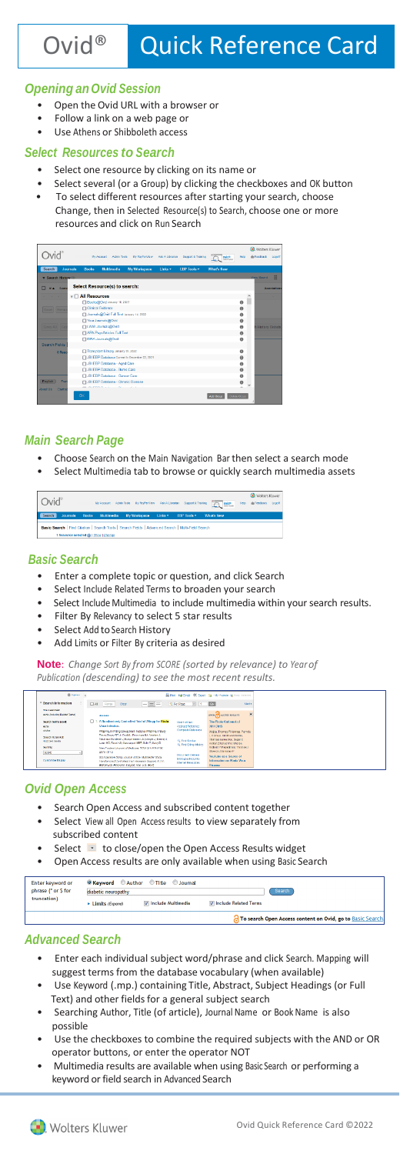# *Opening anOvid Session*

- Open the Ovid URL with a browser or
- Follow a link on a web page or
- Use Athens or Shibboleth access

#### *Select Resources to Search*

- Select one resource by clicking on its name or
	- Select several (or a Group) by clicking the checkboxes and OK button
- To select different resources after starting your search, choose Change, then in Selected Resource(s) to Search, choose one or more resources and click on Run Search

|                             |                                                                                                                                   | Wolbers Kluwer                      |
|-----------------------------|-----------------------------------------------------------------------------------------------------------------------------------|-------------------------------------|
|                             | <b>By Account Admin Tools</b><br>Support & Teaking<br><b>My PayPerView</b><br>Ask A Librarian<br>Owld <sup>*</sup>                | de Footback<br>Moto<br>Logar        |
| Search                      | <b>Journals</b><br><b>Books</b><br><b>Uultimedia</b><br><b>My Workspace</b><br>Links <b>v</b><br>What's New<br><b>FBP Tools *</b> |                                     |
| <b>v</b> Search History (0) |                                                                                                                                   | H.<br><b>View Saved</b>             |
| # 4 Searc                   | Select Resource(s) to search:                                                                                                     | Annotations                         |
|                             | $\tau$ $\Box$ All Resources                                                                                                       |                                     |
|                             | Books@Oxid January 10, 2022                                                                                                       | $\theta$                            |
| Saye  <br>Ren               | Cirical Evidence                                                                                                                  | $\bullet$                           |
|                             | Journals@Ovid Full Text January 14, 2022                                                                                          | $\bullet$                           |
|                             | Ti Your Journals@Orid                                                                                                             | $\theta$                            |
| Save All Fe                 | TLWW Jounals@Ovid                                                                                                                 | $\bullet$<br><b>History Details</b> |
|                             | MPA PsycArticles Full Text                                                                                                        | $\Theta$                            |
|                             | <b>CLERA Journals@Ovid</b>                                                                                                        | $\bullet$                           |
| Search Fields               |                                                                                                                                   |                                     |
| 0 Res                       | Transplant Library January 05, 2022                                                                                               | $\theta$                            |
|                             | JBI EBP Database Current to December 22, 2021                                                                                     | $\theta$                            |
|                             | <b>T JBI EEP Database - Aged Care</b>                                                                                             | $\bullet$                           |
|                             | <b>FLJBI EEP Database - Burns Care</b>                                                                                            | $\theta$                            |
|                             | CLUBI EEP Database - Cancer Care                                                                                                  | $\bullet$                           |
| <b>English</b><br>Ford      | □ JBI EEP Database - Chronic Disease                                                                                              | $\ddot{\mathbf{0}}$                 |
| About 116<br>Contac         | <b>CONTRACTOR</b>                                                                                                                 |                                     |
|                             | CK<br>Add Group                                                                                                                   | Databa Group                        |

# *Main Search Page*

- Choose Search on the Main Navigation Bar then select a search mode
- Select Multimedia tab to browse or quickly search multimedia assets

Ovid®  $\overline{\mathbb{R}}$ 

#### *Basic Search*

- Enter a complete topic or question, and click Search
- Select Include Related Terms to broaden your search
- Select Include Multimedia to include multimedia within your search results.
- Filter By Relevancy to select 5 star results
- Select Add to Search History
- Add Limits or Filter By criteria as desired

**Note**: *Change Sort By from SCORE (sorted by relevance) to Yearof Publication (descending) to see the most recent results.*

| O trains                                                                                                           |                                                                                                                                                                                                                                                                                                                                                                                                                                                                                                                                    | Shifteen, hallmest. Willhood, San Writtendo de Kerry Schedul.                                                                                                                                                         |
|--------------------------------------------------------------------------------------------------------------------|------------------------------------------------------------------------------------------------------------------------------------------------------------------------------------------------------------------------------------------------------------------------------------------------------------------------------------------------------------------------------------------------------------------------------------------------------------------------------------------------------------------------------------|-----------------------------------------------------------------------------------------------------------------------------------------------------------------------------------------------------------------------|
| * Search Information                                                                                               | $ =$ $-$<br>$\sqrt{1 + 60}$<br><b>FT AL</b><br>Range<br>10 Per Page<br><b>Close</b>                                                                                                                                                                                                                                                                                                                                                                                                                                                | Net's                                                                                                                                                                                                                 |
| <b>You cannibad:</b><br>Ande finds also Balded Terrall                                                             |                                                                                                                                                                                                                                                                                                                                                                                                                                                                                                                                    | $\overline{\phantom{a}}$<br><b>OPEN CO ACCESS RESULTS</b>                                                                                                                                                             |
| <b>Cancel to rest send</b><br>and a<br>exter<br>Sourch Betarroot:<br>4022 moltons dis-<br>Sert Ry:<br><b>SCORE</b> | A Bandomized, Controlled Trial of Zhapp for Flede<br>п×<br><b>Cost Foll Text</b><br>Visua Infection.<br>Abstract Reference<br>Corrolete Reference<br>PREVAL I Writing Cross: Mull-National PREVAL I Study<br>Team: Daw; RT.Jr. Dodd L: Preschas Mik Neaton Jr.<br>Restrate Nordwall J. Konomersera JS. Begal J. Insmer J.<br><b>SL Find Similar</b><br>Long HC: Faudi AR: Massague/ MBF: Bohr F: Malvi D.<br>C. Find Office Articles<br>New Fierdamil Journal of Medicine, 273/431-4445-1456.<br>2016 10:13<br>Discussion Data was | The Flesh Outleasek of<br>2014-2015<br>Weida, Thomas R Valenza Pamela<br>Comein Vitetine McGoles<br>Thomas Qateanbar, Rangi C.<br>Kellor, Changchere Sharpe.<br>Geboot? Perceboos. Thomas J.<br>Stawicki, Stanislaw P |
| Customize Display                                                                                                  | Companies State Journal Article Hultmake State<br><b>Bibliorachic Links</b><br>Rendomined Controlled and Vieseeron Support N / M.<br>Internet Resources<br>Extramarck Research Streport, Nos U.S. Gov't'                                                                                                                                                                                                                                                                                                                           | You labe as a Source of<br>Information on Floda Vices<br><b>Dissense</b>                                                                                                                                              |

# *Ovid Open Access*

- Search Open Access and subscribed content together
- Select View all Open Access results to view separately from subscribed content
- Select **that** to close/open the Open Access Results widget
- Open Access results are only available when using Basic Search

| Enter keyword or<br>phrase (* or \$ for | diabetic neuropathy | O Keyword C Author C Title C Journal | Search                         |                                                            |
|-----------------------------------------|---------------------|--------------------------------------|--------------------------------|------------------------------------------------------------|
| truncation)                             | Elimits (Expand)    | <b>V</b> Include Multimedia          | <b>V</b> Include Related Terms |                                                            |
|                                         |                     |                                      |                                | To search Open Access content on Ovid, go to Basic Search. |

#### *Advanced Search*

- Enter each individual subject word/phrase and click Search. Mapping will suggest terms from the database vocabulary (when available)
- Use Keyword (.mp.) containing Title, Abstract, Subject Headings (or Full Text) and other fields for a general subject search
- Searching Author, Title (of article), Journal Name or Book Name is also possible
- Use the checkboxes to combine the required subjects with the AND or OR operator buttons, or enter the operator NOT
- Multimedia results are available when using Basic Search or performing a keyword or field search in Advanced Search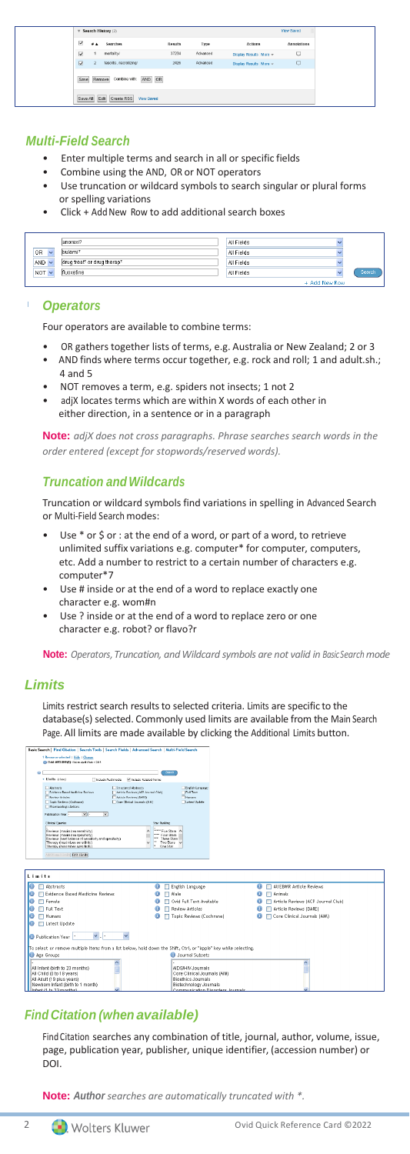|                         |           | $\overline{\mathbf{v}}$ Search History (2)    |                |          |                          | View Saved<br>H. |
|-------------------------|-----------|-----------------------------------------------|----------------|----------|--------------------------|------------------|
| ⊽                       | <b>FA</b> | Searches                                      | <b>Results</b> | Type     | Actions                  | Annotations      |
| $\overline{\mathbf{v}}$ |           | mortality/                                    | 37234          | Advanced | Display Results   More = | $\Box$           |
| ☑                       |           | fascitts, necrotizing/                        | 2426           | Advanced | Display Results More +   | $\Box$           |
|                         |           | Combine with: AND OR<br>Save Remove           |                |          |                          |                  |
|                         |           | Save All Edit Create RSS<br><b>View Saved</b> |                |          |                          |                  |

# *Multi-Field Search*

- Enter multiple terms and search in all or specific fields
- Combine using the AND, OR or NOT operators
- Use truncation or wildcard symbols to search singular or plural forms or spelling variations
- Click + Add New Row to add additional search boxes

|              | lanorexi?                   | All Fields |               |        |
|--------------|-----------------------------|------------|---------------|--------|
| 0R           | bulemi*                     | All Fields |               |        |
| $AND$ $\sim$ | drug treat* or drug therap* | All Fields |               |        |
| $NOT \vee$   | fluoxetine                  | All Fields |               | Search |
|              |                             |            | + Add New Row |        |

#### *Operators*

Four operators are available to combine terms:

- OR gathers together lists of terms, e.g. Australia or New Zealand; 2 or 3
- AND finds where terms occur together, e.g. rock and roll; 1 and adult.sh.; 4 and 5
- NOT removes a term, e.g. spiders not insects; 1 not 2
- adjX locates terms which are within X words of each other in either direction, in a sentence or in a paragraph

**Note:** *adjX does not cross paragraphs. Phrase searches search words in the order entered (except for stopwords/reserved words).*

# *Truncation andWildcards*

Truncation or wildcard symbols find variations in spelling in Advanced Search or Multi-Field Search modes:

- Use \* or \$ or : at the end of a word, or part of a word, to retrieve unlimited suffix variations e.g. computer\* for computer, computers, etc. Add a number to restrict to a certain number of characters e.g. computer\*7
- Use # inside or at the end of a word to replace exactly one character e.g. wom#n
- Use ? inside or at the end of a word to replace zero or one character e.g. robot? or flavo?r

**Note:** *Operators,Truncation, andWildcard symbols are not valid in BasicSearchmode*

# *Limits*

Limits restrict search results to selected criteria. Limits are specific to the database(s) selected. Commonly used limits are available from the Main Search Page. All limits are made available by clicking the Additional Limits button.

|                           | Basic Search   Find Citation   Search Tools   Search Fields   Advanced Search   Multi-Field Search                              |                                |                                                            |   |                                    |
|---------------------------|---------------------------------------------------------------------------------------------------------------------------------|--------------------------------|------------------------------------------------------------|---|------------------------------------|
|                           | 1 Resource selected   Hide   Change                                                                                             |                                |                                                            |   |                                    |
|                           | @ Oved MEDLINE(R) 1546 to april Vitel: 1 2015                                                                                   |                                |                                                            |   |                                    |
|                           |                                                                                                                                 | <b>Gearts</b>                  |                                                            |   |                                    |
| · Limits (class)          | Include Multimedia<br>M Include Related Terms                                                                                   |                                |                                                            |   |                                    |
| <b>El Abstracts</b>       | Structured Abstracts                                                                                                            |                                | English Language                                           |   |                                    |
|                           | 1 Evidence Based Medicine Reviews<br>1 Article Reviews (ACP Journal Club)<br><b>E</b> Review Articles<br>Article Reviews (DARE) |                                | <b>Fill Full Text</b><br><b>Thomas</b>                     |   |                                    |
|                           | Tepto Reviews (Cochrane)<br>Core Chrical Journals (AIM)                                                                         |                                | <b>Il Latest Lindate</b>                                   |   |                                    |
|                           | <b>Figureacologic Actions</b>                                                                                                   |                                |                                                            |   |                                    |
|                           | <b>Publication Year</b><br>∼⊩<br>$\vee$                                                                                         |                                |                                                            |   |                                    |
|                           | <b>Clinical Overles</b>                                                                                                         | <b>Star Ranking</b>            |                                                            |   |                                    |
|                           | Ravieus (maximizes sensifyity)                                                                                                  | ***** Five Stars               |                                                            |   |                                    |
|                           | Reviews (maximizes specificity)<br>Reviews (best belance of sensitivity and specificity)                                        | *** Four Stars<br>Three Stern  |                                                            |   |                                    |
|                           | Therapy (maximizes sensibilit)<br>Therapy (maximizes spacificity)                                                               | Two Stars V<br><b>Doa Star</b> |                                                            |   |                                    |
|                           |                                                                                                                                 |                                |                                                            |   |                                    |
|                           | <b>MASSICORNEL TOYIES Edit Limits</b>                                                                                           |                                |                                                            |   |                                    |
|                           |                                                                                                                                 |                                |                                                            |   |                                    |
|                           |                                                                                                                                 |                                |                                                            |   |                                    |
| $l$ imits                 |                                                                                                                                 |                                |                                                            |   |                                    |
| Abstracts                 |                                                                                                                                 | m                              | English Language                                           | ω | All EBMR Article Reviews           |
| ω                         | Evidence Based Medicine Reviews                                                                                                 | A Male                         |                                                            |   | Animals                            |
| ω<br>Female               |                                                                                                                                 |                                | Ovid Full Text Available                                   |   | Article Reviews (ACP Journal Club) |
| <b>Full Text</b><br>ω     |                                                                                                                                 |                                | Review Articles                                            |   | Article Reviews (DARE)             |
| Humans<br>ω               |                                                                                                                                 |                                | Topic Reviews (Cochrane)                                   |   | Core Clinical Journals (AW)        |
| ω                         | Latest Update                                                                                                                   |                                |                                                            |   |                                    |
|                           |                                                                                                                                 |                                |                                                            |   |                                    |
| <b>D</b> Publication Year | $\checkmark$                                                                                                                    |                                |                                                            |   |                                    |
|                           | To select or remove multiple items from a list below, hold down the Shift, Ctrl, or "Apple" key while selecting,                |                                |                                                            |   |                                    |
| <b>O</b> Age Groups       |                                                                                                                                 |                                | <b>D</b> Journal Subsets                                   |   |                                    |
|                           |                                                                                                                                 |                                |                                                            |   |                                    |
|                           | All Infant (birth to 23 months)                                                                                                 |                                | AIDS/HIV Journals                                          |   |                                    |
| All Child (0 to 18 years) |                                                                                                                                 |                                | Core Clinical Journals (AIM)                               |   |                                    |
| All Adult (19 plus years) |                                                                                                                                 |                                | Bioethics Journals                                         |   |                                    |
| Infant (1 to 23 months)   | Newborn Infant (birth to 1 month)                                                                                               |                                | Biotechnology Journals<br>Communication Disorders Journals |   |                                    |
|                           |                                                                                                                                 |                                |                                                            |   |                                    |

# *Find Citation (when available)*

Find Citation searches any combination of title, journal, author, volume, issue, page, publication year, publisher, unique identifier, (accession number) or DOI.

**Note:** *Author searches are automatically truncated with \*.*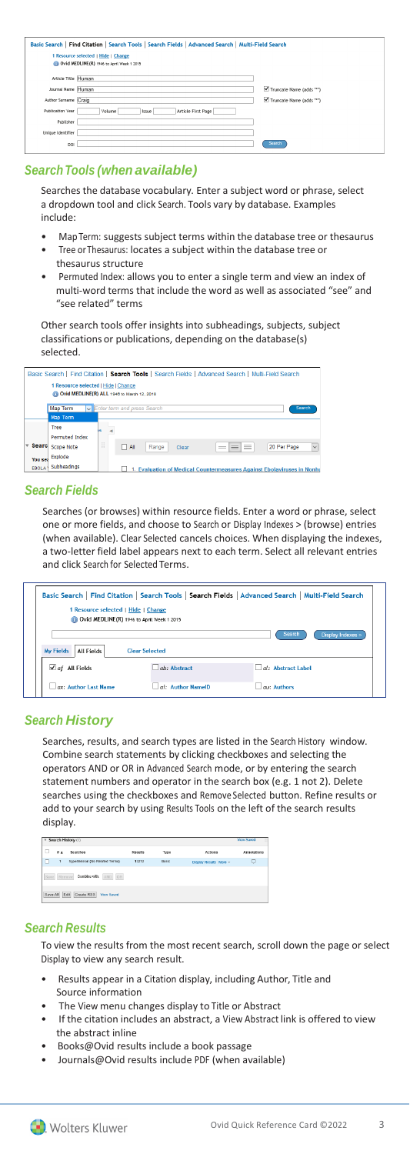| Basic Search   Find Citation   Search Tools   Search Fields   Advanced Search   Multi-Field Search |                                       |                         |  |  |  |  |
|----------------------------------------------------------------------------------------------------|---------------------------------------|-------------------------|--|--|--|--|
| 1 Resource selected   Hide   Change<br>Ovid MEDLINE(R) 1946 to April Week 1 2015                   |                                       |                         |  |  |  |  |
| Article Title Human                                                                                |                                       |                         |  |  |  |  |
| Journal Name Human                                                                                 |                                       | Truncate Name (adds "") |  |  |  |  |
| Author Surname Craig                                                                               |                                       | Truncate Name (adds "") |  |  |  |  |
| Publication Year                                                                                   | Article First Page<br>Volume<br>Issue |                         |  |  |  |  |
| Publisher                                                                                          |                                       |                         |  |  |  |  |
| Unique Identifier                                                                                  |                                       |                         |  |  |  |  |
| DOI                                                                                                |                                       | Search                  |  |  |  |  |

#### *SearchTools (when available)*

Searches the database vocabulary. Enter a subject word or phrase, select a dropdown tool and click Search. Tools vary by database. Examples include:

- MapTerm: suggests subject terms within the database tree or thesaurus Tree or Thesaurus: locates a subject within the database tree or
- thesaurus structure
- Permuted Index: allows you to enter a single term and view an index of multi-word terms that include the word as well as associated "see" and "see related" terms

Other search tools offer insights into subheadings, subjects, subject classifications or publications, depending on the database(s) selected.

|              | Basic Search   Find Citation   Search Tools   Search Fields   Advanced Search   Multi-Field Search<br>1 Resource selected   Hide   Change<br>No Ovid MEDLINE(R) ALL 1946 to March 12, 2018 |                                           |                                                                        |                             |  |  |  |
|--------------|--------------------------------------------------------------------------------------------------------------------------------------------------------------------------------------------|-------------------------------------------|------------------------------------------------------------------------|-----------------------------|--|--|--|
|              | <b>Map Term</b>                                                                                                                                                                            | Enter term and press Search               |                                                                        | Search                      |  |  |  |
|              | Map Term                                                                                                                                                                                   |                                           |                                                                        |                             |  |  |  |
|              | Tree                                                                                                                                                                                       | ١c                                        |                                                                        |                             |  |  |  |
|              | <b>Permuted Index</b>                                                                                                                                                                      |                                           |                                                                        |                             |  |  |  |
| <b>Searc</b> | <b>Scope Note</b>                                                                                                                                                                          | $=$<br>$-1$<br>$\Box$ All<br>Range<br>$=$ | ≡<br>Clear<br>$=$<br>$\qquad \qquad = \qquad \qquad$                   | 20 Per Page<br>$\checkmark$ |  |  |  |
| You sea      | Explode                                                                                                                                                                                    |                                           |                                                                        |                             |  |  |  |
| <b>EBOLA</b> | Subheadings                                                                                                                                                                                |                                           | 1. Evaluation of Medical Countermeasures Against Ebolaviruses in Nonhu |                             |  |  |  |

#### *Search Fields*

Searches (or browses) within resource fields. Enter a word or phrase, select one or more fields, and choose to Search or Display Indexes > (browse) entries (when available). Clear Selected cancels choices. When displaying the indexes, a two-letter field label appears next to each term. Select all relevant entries and click Search for Selected Terms.

| Basic Search   Find Citation   Search Tools   Search Fields   Advanced Search   Multi-Field Search<br>1 Resource selected   Hide   Change<br>Ovid MEDLINE(R) 1946 to April Week 1 2015 |                          |                      |  |  |  |  |  |
|----------------------------------------------------------------------------------------------------------------------------------------------------------------------------------------|--------------------------|----------------------|--|--|--|--|--|
| <b>Search</b><br>Display Indexes ><br><b>All Fields</b><br><b>Clear Selected</b><br><b>My Fields</b>                                                                                   |                          |                      |  |  |  |  |  |
| $\sqrt{af}$ All Fields                                                                                                                                                                 | ab: Abstract             | $al:$ Abstract Label |  |  |  |  |  |
| $ax:$ Author Last Name                                                                                                                                                                 | $\Box$ ai: Author NamelD | au: Authors          |  |  |  |  |  |

# *Search History*

Searches, results, and search types are listed in the Search History window. Combine search statements by clicking checkboxes and selecting the operators AND or OR in Advanced Search mode, or by entering the search statement numbers and operator in the search box (e.g. 1 not 2). Delete searches using the checkboxes and Remove Selected button. Refine results or add to your search by using Results Tools on the left of the search results display.

|               | Search History (1)<br>View Nawed<br>m. |                                  |                |       |                        |                    |  |  |
|---------------|----------------------------------------|----------------------------------|----------------|-------|------------------------|--------------------|--|--|
| $\Box$        | $\pm$ A                                | Searches                         | <b>Results</b> | Type  | Actions                | <b>Annotations</b> |  |  |
|               |                                        | Invoertension (No Related Terms) | 13212          | Basic | Display Results More - | U                  |  |  |
| Save Remove   |                                        | Combine with:<br>AND OR          |                |       |                        |                    |  |  |
| Save All Edit |                                        | Create RSS<br>View Saved         |                |       |                        |                    |  |  |

# *Search Results*

To view the results from the most recent search, scroll down the page or select Display to view any search result.

- Results appear in a Citation display, including Author, Title and Source information
- The View menu changes display to Title or Abstract
- If the citation includes an abstract, a View Abstract link is offered to view the abstract inline
- Books@Ovid results include a book passage
- Journals@Ovid results include PDF (when available)